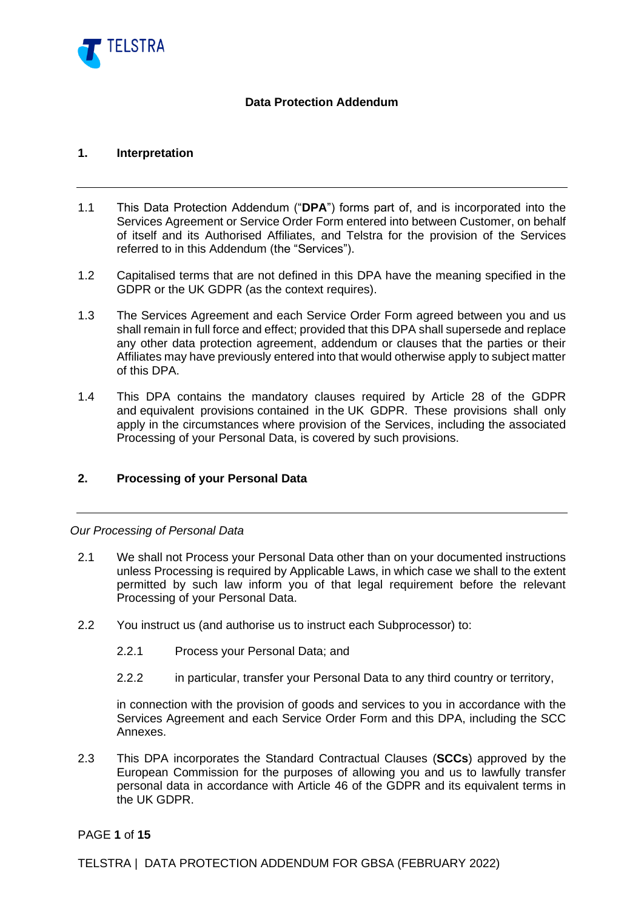

### **Data Protection Addendum**

### **1. Interpretation**

- 1.1 This Data Protection Addendum ("**DPA**") forms part of, and is incorporated into the Services Agreement or Service Order Form entered into between Customer, on behalf of itself and its Authorised Affiliates, and Telstra for the provision of the Services referred to in this Addendum (the "Services").
- 1.2 Capitalised terms that are not defined in this DPA have the meaning specified in the GDPR or the UK GDPR (as the context requires).
- 1.3 The Services Agreement and each Service Order Form agreed between you and us shall remain in full force and effect; provided that this DPA shall supersede and replace any other data protection agreement, addendum or clauses that the parties or their Affiliates may have previously entered into that would otherwise apply to subject matter of this DPA.
- 1.4 This DPA contains the mandatory clauses required by Article 28 of the GDPR and equivalent provisions contained in the UK GDPR. These provisions shall only apply in the circumstances where provision of the Services, including the associated Processing of your Personal Data, is covered by such provisions.

# **2. Processing of your Personal Data**

#### *Our Processing of Personal Data*

- 2.1 We shall not Process your Personal Data other than on your documented instructions unless Processing is required by Applicable Laws, in which case we shall to the extent permitted by such law inform you of that legal requirement before the relevant Processing of your Personal Data.
- 2.2 You instruct us (and authorise us to instruct each Subprocessor) to:
	- 2.2.1 Process your Personal Data; and
	- 2.2.2 in particular, transfer your Personal Data to any third country or territory,

in connection with the provision of goods and services to you in accordance with the Services Agreement and each Service Order Form and this DPA, including the SCC Annexes.

2.3 This DPA incorporates the Standard Contractual Clauses (**SCCs**) approved by the European Commission for the purposes of allowing you and us to lawfully transfer personal data in accordance with Article 46 of the GDPR and its equivalent terms in the UK GDPR.

PAGE **1** of **15**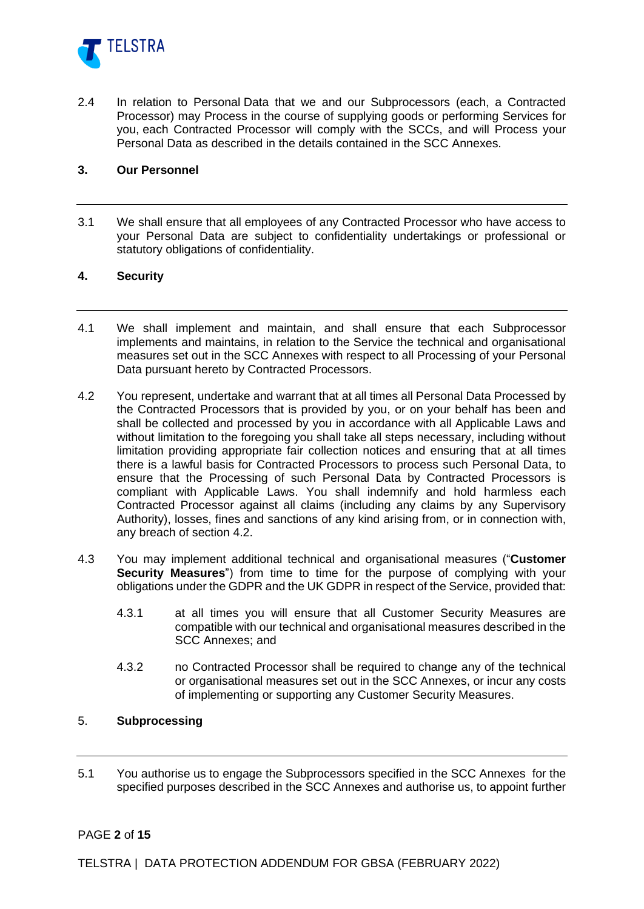

2.4 In relation to Personal Data that we and our Subprocessors (each, a Contracted Processor) may Process in the course of supplying goods or performing Services for you, each Contracted Processor will comply with the SCCs, and will Process your Personal Data as described in the details contained in the SCC Annexes.

#### **3. Our Personnel**

3.1 We shall ensure that all employees of any Contracted Processor who have access to your Personal Data are subject to confidentiality undertakings or professional or statutory obligations of confidentiality.

### **4. Security**

- 4.1 We shall implement and maintain, and shall ensure that each Subprocessor implements and maintains, in relation to the Service the technical and organisational measures set out in the SCC Annexes with respect to all Processing of your Personal Data pursuant hereto by Contracted Processors.
- <span id="page-1-0"></span>4.2 You represent, undertake and warrant that at all times all Personal Data Processed by the Contracted Processors that is provided by you, or on your behalf has been and shall be collected and processed by you in accordance with all Applicable Laws and without limitation to the foregoing you shall take all steps necessary, including without limitation providing appropriate fair collection notices and ensuring that at all times there is a lawful basis for Contracted Processors to process such Personal Data, to ensure that the Processing of such Personal Data by Contracted Processors is compliant with Applicable Laws. You shall indemnify and hold harmless each Contracted Processor against all claims (including any claims by any Supervisory Authority), losses, fines and sanctions of any kind arising from, or in connection with, any breach of section [4.2.](#page-1-0)
- 4.3 You may implement additional technical and organisational measures ("**Customer Security Measures**") from time to time for the purpose of complying with your obligations under the GDPR and the UK GDPR in respect of the Service, provided that:
	- 4.3.1 at all times you will ensure that all Customer Security Measures are compatible with our technical and organisational measures described in the SCC Annexes; and
	- 4.3.2 no Contracted Processor shall be required to change any of the technical or organisational measures set out in the SCC Annexes, or incur any costs of implementing or supporting any Customer Security Measures.

### <span id="page-1-1"></span>5. **Subprocessing**

5.1 You authorise us to engage the Subprocessors specified in the SCC Annexes for the specified purposes described in the SCC Annexes and authorise us, to appoint further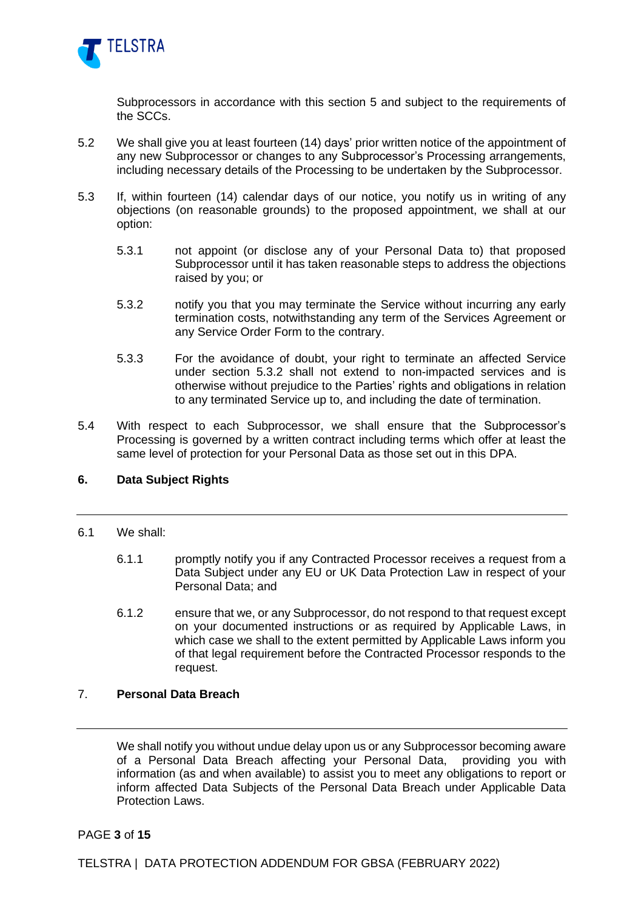

Subprocessors in accordance with this section [5](#page-1-1) and subject to the requirements of the SCCs.

- 5.2 We shall give you at least fourteen (14) days' prior written notice of the appointment of any new Subprocessor or changes to any Subprocessor's Processing arrangements, including necessary details of the Processing to be undertaken by the Subprocessor.
- <span id="page-2-0"></span>5.3 If, within fourteen (14) calendar days of our notice, you notify us in writing of any objections (on reasonable grounds) to the proposed appointment, we shall at our option:
	- 5.3.1 not appoint (or disclose any of your Personal Data to) that proposed Subprocessor until it has taken reasonable steps to address the objections raised by you; or
	- 5.3.2 notify you that you may terminate the Service without incurring any early termination costs, notwithstanding any term of the Services Agreement or any Service Order Form to the contrary.
	- 5.3.3 For the avoidance of doubt, your right to terminate an affected Service under section [5.3.2](#page-2-0) shall not extend to non-impacted services and is otherwise without prejudice to the Parties' rights and obligations in relation to any terminated Service up to, and including the date of termination.
- 5.4 With respect to each Subprocessor, we shall ensure that the Subprocessor's Processing is governed by a written contract including terms which offer at least the same level of protection for your Personal Data as those set out in this DPA.

### <span id="page-2-1"></span>**6. Data Subject Rights**

- 6.1 We shall:
	- 6.1.1 promptly notify you if any Contracted Processor receives a request from a Data Subject under any EU or UK Data Protection Law in respect of your Personal Data; and
	- 6.1.2 ensure that we, or any Subprocessor, do not respond to that request except on your documented instructions or as required by Applicable Laws, in which case we shall to the extent permitted by Applicable Laws inform you of that legal requirement before the Contracted Processor responds to the request.

### <span id="page-2-2"></span>7. **Personal Data Breach**

We shall notify you without undue delay upon us or any Subprocessor becoming aware of a Personal Data Breach affecting your Personal Data, providing you with information (as and when available) to assist you to meet any obligations to report or inform affected Data Subjects of the Personal Data Breach under Applicable Data Protection Laws.

PAGE **3** of **15**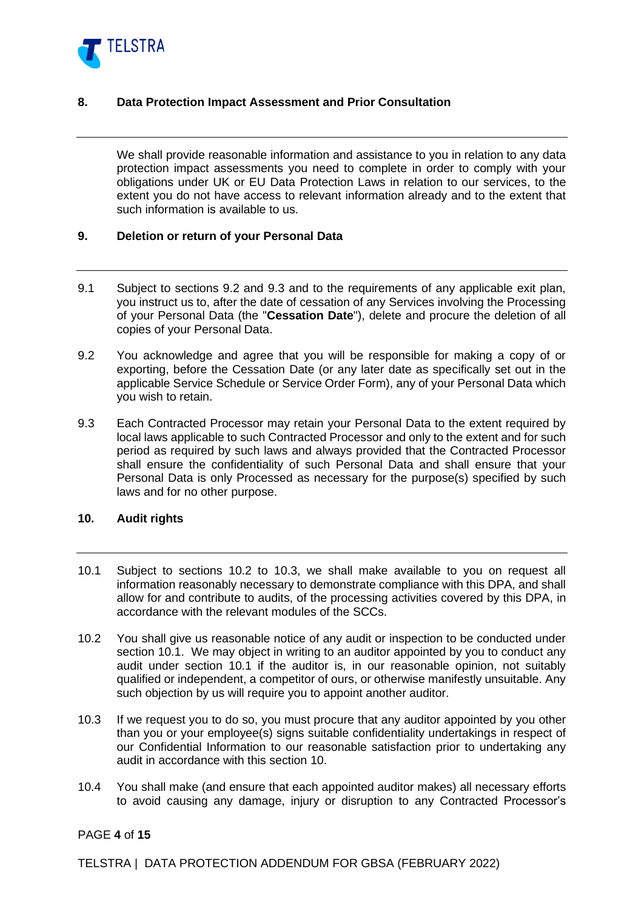

### <span id="page-3-6"></span>**8. Data Protection Impact Assessment and Prior Consultation**

We shall provide reasonable information and assistance to you in relation to any data protection impact assessments you need to complete in order to comply with your obligations under UK or EU Data Protection Laws in relation to our services, to the extent you do not have access to relevant information already and to the extent that such information is available to us.

#### **9. Deletion or return of your Personal Data**

- 9.1 Subject to sections [9.2](#page-3-0) and [9.3](#page-3-1) and to the requirements of any applicable exit plan, you instruct us to, after the date of cessation of any Services involving the Processing of your Personal Data (the "**Cessation Date**"), delete and procure the deletion of all copies of your Personal Data.
- <span id="page-3-0"></span>9.2 You acknowledge and agree that you will be responsible for making a copy of or exporting, before the Cessation Date (or any later date as specifically set out in the applicable Service Schedule or Service Order Form), any of your Personal Data which you wish to retain.
- <span id="page-3-1"></span>9.3 Each Contracted Processor may retain your Personal Data to the extent required by local laws applicable to such Contracted Processor and only to the extent and for such period as required by such laws and always provided that the Contracted Processor shall ensure the confidentiality of such Personal Data and shall ensure that your Personal Data is only Processed as necessary for the purpose(s) specified by such laws and for no other purpose.

### <span id="page-3-5"></span>**10. Audit rights**

- <span id="page-3-4"></span>10.1 Subject to sections [10.2](#page-3-2) to [10.3,](#page-3-3) we shall make available to you on request all information reasonably necessary to demonstrate compliance with this DPA, and shall allow for and contribute to audits, of the processing activities covered by this DPA, in accordance with the relevant modules of the SCCs.
- <span id="page-3-2"></span>10.2 You shall give us reasonable notice of any audit or inspection to be conducted under section [10.1.](#page-3-4) We may object in writing to an auditor appointed by you to conduct any audit under section [10.1](#page-3-4) if the auditor is, in our reasonable opinion, not suitably qualified or independent, a competitor of ours, or otherwise manifestly unsuitable. Any such objection by us will require you to appoint another auditor.
- <span id="page-3-3"></span>10.3 If we request you to do so, you must procure that any auditor appointed by you other than you or your employee(s) signs suitable confidentiality undertakings in respect of our Confidential Information to our reasonable satisfaction prior to undertaking any audit in accordance with this section [10.](#page-3-5)
- 10.4 You shall make (and ensure that each appointed auditor makes) all necessary efforts to avoid causing any damage, injury or disruption to any Contracted Processor's

### PAGE **4** of **15**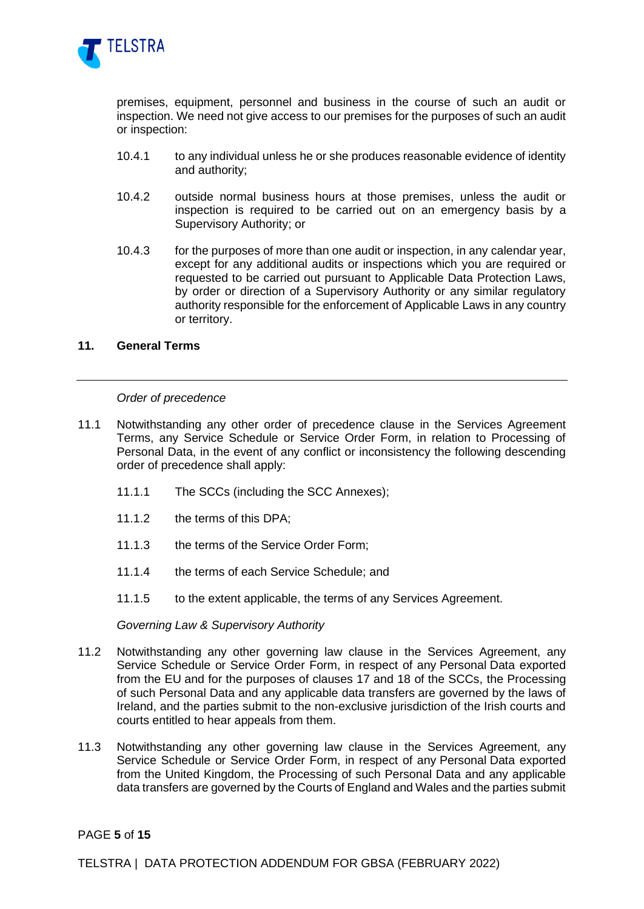

premises, equipment, personnel and business in the course of such an audit or inspection. We need not give access to our premises for the purposes of such an audit or inspection:

- 10.4.1 to any individual unless he or she produces reasonable evidence of identity and authority;
- 10.4.2 outside normal business hours at those premises, unless the audit or inspection is required to be carried out on an emergency basis by a Supervisory Authority; or
- 10.4.3 for the purposes of more than one audit or inspection, in any calendar year, except for any additional audits or inspections which you are required or requested to be carried out pursuant to Applicable Data Protection Laws, by order or direction of a Supervisory Authority or any similar regulatory authority responsible for the enforcement of Applicable Laws in any country or territory.

#### **11. General Terms**

#### *Order of precedence*

- 11.1 Notwithstanding any other order of precedence clause in the Services Agreement Terms, any Service Schedule or Service Order Form, in relation to Processing of Personal Data, in the event of any conflict or inconsistency the following descending order of precedence shall apply:
	- 11.1.1 The SCCs (including the SCC Annexes);
	- 11.1.2 the terms of this DPA;
	- 11.1.3 the terms of the Service Order Form;
	- 11.1.4 the terms of each Service Schedule; and
	- 11.1.5 to the extent applicable, the terms of any Services Agreement.

*Governing Law & Supervisory Authority*

- 11.2 Notwithstanding any other governing law clause in the Services Agreement, any Service Schedule or Service Order Form, in respect of any Personal Data exported from the EU and for the purposes of clauses 17 and 18 of the SCCs, the Processing of such Personal Data and any applicable data transfers are governed by the laws of Ireland, and the parties submit to the non-exclusive jurisdiction of the Irish courts and courts entitled to hear appeals from them.
- 11.3 Notwithstanding any other governing law clause in the Services Agreement, any Service Schedule or Service Order Form, in respect of any Personal Data exported from the United Kingdom, the Processing of such Personal Data and any applicable data transfers are governed by the Courts of England and Wales and the parties submit

PAGE **5** of **15**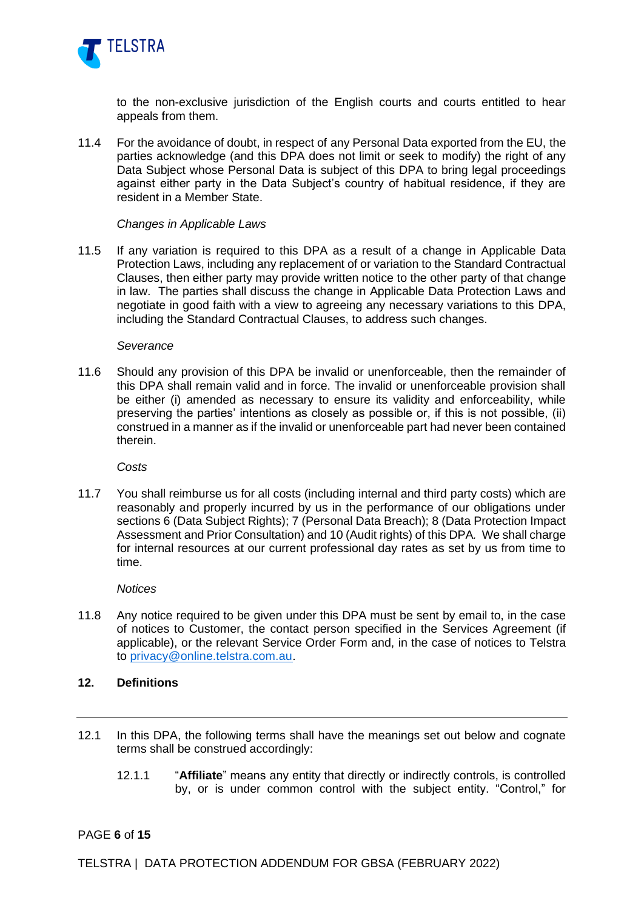

to the non-exclusive jurisdiction of the English courts and courts entitled to hear appeals from them.

11.4 For the avoidance of doubt, in respect of any Personal Data exported from the EU, the parties acknowledge (and this DPA does not limit or seek to modify) the right of any Data Subject whose Personal Data is subject of this DPA to bring legal proceedings against either party in the Data Subject's country of habitual residence, if they are resident in a Member State.

#### *Changes in Applicable Laws*

11.5 If any variation is required to this DPA as a result of a change in Applicable Data Protection Laws, including any replacement of or variation to the Standard Contractual Clauses, then either party may provide written notice to the other party of that change in law. The parties shall discuss the change in Applicable Data Protection Laws and negotiate in good faith with a view to agreeing any necessary variations to this DPA, including the Standard Contractual Clauses, to address such changes.

#### *Severance*

11.6 Should any provision of this DPA be invalid or unenforceable, then the remainder of this DPA shall remain valid and in force. The invalid or unenforceable provision shall be either (i) amended as necessary to ensure its validity and enforceability, while preserving the parties' intentions as closely as possible or, if this is not possible, (ii) construed in a manner as if the invalid or unenforceable part had never been contained therein.

*Costs*

11.7 You shall reimburse us for all costs (including internal and third party costs) which are reasonably and properly incurred by us in the performance of our obligations under sections [6](#page-2-1) (Data Subject Rights); [7](#page-2-2) (Personal Data Breach); [8](#page-3-6) (Data Protection Impact Assessment and Prior Consultation) and [10](#page-3-5) (Audit rights) of this DPA*.* We shall charge for internal resources at our current professional day rates as set by us from time to time.

*Notices*

11.8 Any notice required to be given under this DPA must be sent by email to, in the case of notices to Customer, the contact person specified in the Services Agreement (if applicable), or the relevant Service Order Form and, in the case of notices to Telstra to [privacy@online.telstra.com.au](mailto:privacy@online.telstra.com.au).

### **12. Definitions**

- 12.1 In this DPA, the following terms shall have the meanings set out below and cognate terms shall be construed accordingly:
	- 12.1.1 "**Affiliate**" means any entity that directly or indirectly controls, is controlled by, or is under common control with the subject entity. "Control," for

### PAGE **6** of **15**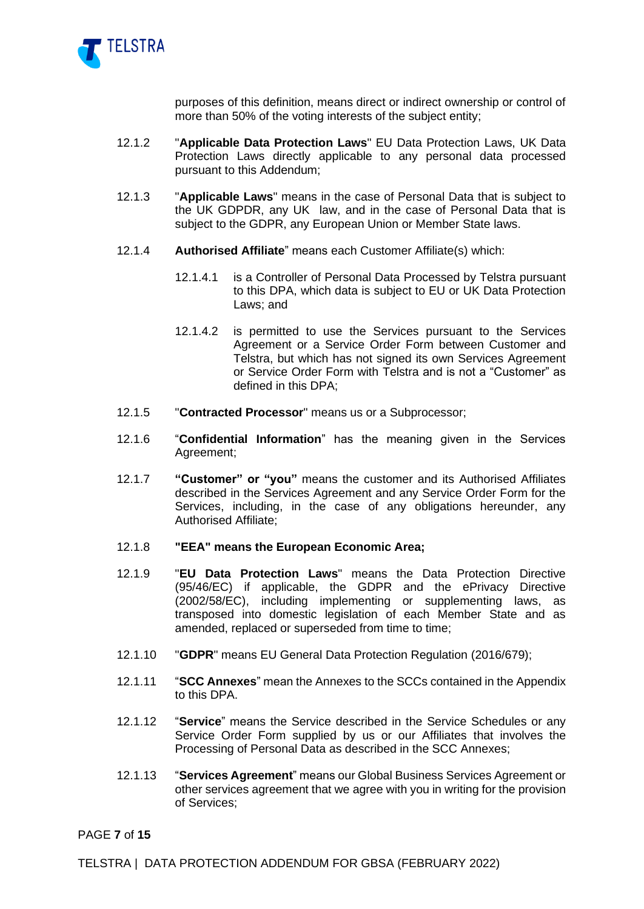

purposes of this definition, means direct or indirect ownership or control of more than 50% of the voting interests of the subject entity;

- 12.1.2 "**Applicable Data Protection Laws**" EU Data Protection Laws, UK Data Protection Laws directly applicable to any personal data processed pursuant to this Addendum;
- 12.1.3 "**Applicable Laws**" means in the case of Personal Data that is subject to the UK GDPDR, any UK law, and in the case of Personal Data that is subject to the GDPR, any European Union or Member State laws.
- 12.1.4 **Authorised Affiliate**" means each Customer Affiliate(s) which:
	- 12.1.4.1 is a Controller of Personal Data Processed by Telstra pursuant to this DPA, which data is subject to EU or UK Data Protection Laws; and
	- 12.1.4.2 is permitted to use the Services pursuant to the Services Agreement or a Service Order Form between Customer and Telstra, but which has not signed its own Services Agreement or Service Order Form with Telstra and is not a "Customer" as defined in this DPA;
- 12.1.5 "**Contracted Processor**" means us or a Subprocessor;
- 12.1.6 "**Confidential Information**" has the meaning given in the Services Agreement;
- 12.1.7 **"Customer" or "you"** means the customer and its Authorised Affiliates described in the Services Agreement and any Service Order Form for the Services, including, in the case of any obligations hereunder, any Authorised Affiliate;

#### 12.1.8 **"EEA" means the European Economic Area;**

- 12.1.9 "**EU Data Protection Laws**" means the Data Protection Directive (95/46/EC) if applicable, the GDPR and the ePrivacy Directive (2002/58/EC), including implementing or supplementing laws, as transposed into domestic legislation of each Member State and as amended, replaced or superseded from time to time;
- 12.1.10 "**GDPR**" means EU General Data Protection Regulation (2016/679);
- 12.1.11 "**SCC Annexes**" mean the Annexes to the SCCs contained in the Appendix to this DPA.
- 12.1.12 "**Service**" means the Service described in the Service Schedules or any Service Order Form supplied by us or our Affiliates that involves the Processing of Personal Data as described in the SCC Annexes;
- 12.1.13 "**Services Agreement**" means our Global Business Services Agreement or other services agreement that we agree with you in writing for the provision of Services;

PAGE **7** of **15**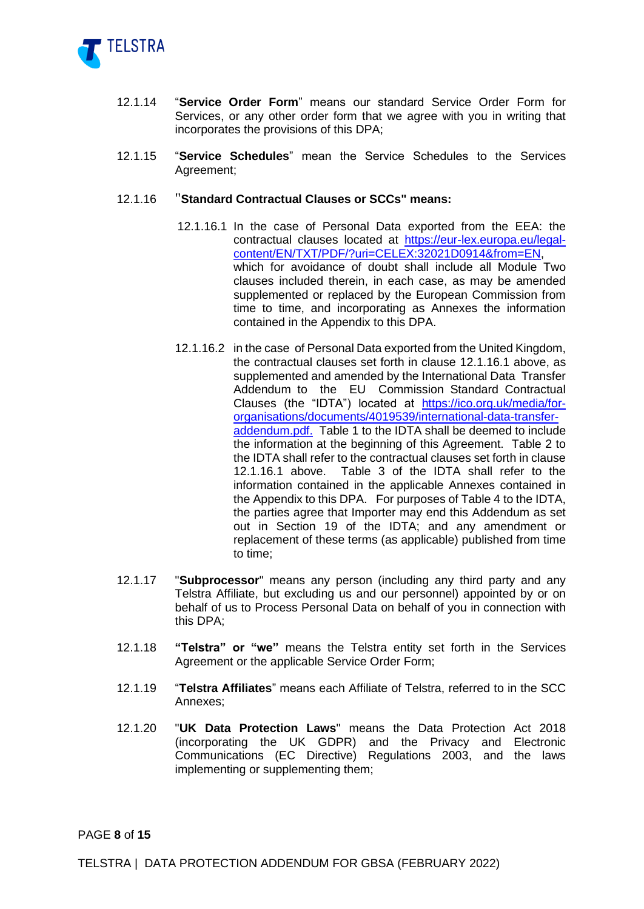

- 12.1.14 "**Service Order Form**" means our standard Service Order Form for Services, or any other order form that we agree with you in writing that incorporates the provisions of this DPA;
- 12.1.15 "**Service Schedules**" mean the Service Schedules to the Services Agreement;
- 12.1.16 "**Standard Contractual Clauses or SCCs" means:**
	- 12.1.16.1 In the case of Personal Data exported from the EEA: the contractual clauses located at [https://eur-lex.europa.eu/legal](https://eur-lex.europa.eu/legal-content/EN/TXT/PDF/?uri=CELEX:32021D0914&from=EN)[content/EN/TXT/PDF/?uri=CELEX:32021D0914&from=EN,](https://eur-lex.europa.eu/legal-content/EN/TXT/PDF/?uri=CELEX:32021D0914&from=EN) which for avoidance of doubt shall include all Module Two clauses included therein, in each case, as may be amended supplemented or replaced by the European Commission from time to time, and incorporating as Annexes the information contained in the Appendix to this DPA.
	- 12.1.16.2 in the case of Personal Data exported from the United Kingdom, the contractual clauses set forth in clause 12.1.16.1 above, as supplemented and amended by the International Data Transfer Addendum to the EU Commission Standard Contractual Clauses (the "IDTA") located at [https://ico.org.uk/media/for](https://ico.org.uk/media/for-organisations/documents/4019539/international-data-transfer-addendum.pdf)[organisations/documents/4019539/international-data-transfer](https://ico.org.uk/media/for-organisations/documents/4019539/international-data-transfer-addendum.pdf)[addendum.pdf.](https://ico.org.uk/media/for-organisations/documents/4019539/international-data-transfer-addendum.pdf) Table 1 to the IDTA shall be deemed to include the information at the beginning of this Agreement. Table 2 to the IDTA shall refer to the contractual clauses set forth in clause 12.1.16.1 above. Table 3 of the IDTA shall refer to the information contained in the applicable Annexes contained in the Appendix to this DPA. For purposes of Table 4 to the IDTA, the parties agree that Importer may end this Addendum as set out in Section 19 of the IDTA; and any amendment or replacement of these terms (as applicable) published from time to time;
- 12.1.17 "**Subprocessor**" means any person (including any third party and any Telstra Affiliate, but excluding us and our personnel) appointed by or on behalf of us to Process Personal Data on behalf of you in connection with this DPA;
- 12.1.18 **"Telstra" or "we"** means the Telstra entity set forth in the Services Agreement or the applicable Service Order Form;
- 12.1.19 "**Telstra Affiliates**" means each Affiliate of Telstra, referred to in the SCC Annexes;
- 12.1.20 "**UK Data Protection Laws**" means the Data Protection Act 2018 (incorporating the UK GDPR) and the Privacy and Electronic Communications (EC Directive) Regulations 2003, and the laws implementing or supplementing them;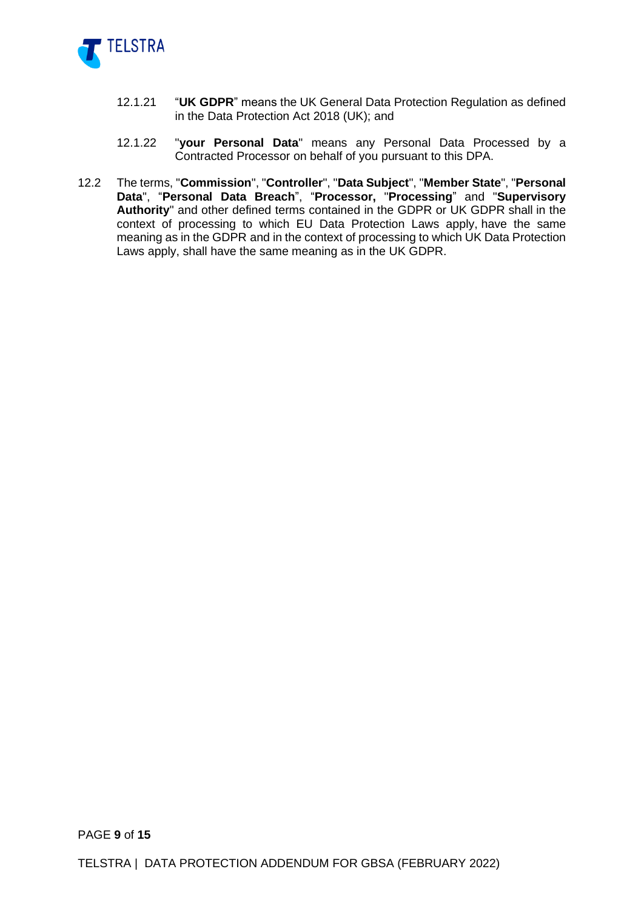

- 12.1.21 "**UK GDPR**" means the UK General Data Protection Regulation as defined in the Data Protection Act 2018 (UK); and
- 12.1.22 "**your Personal Data**" means any Personal Data Processed by a Contracted Processor on behalf of you pursuant to this DPA.
- 12.2 The terms, "**Commission**", "**Controller**", "**Data Subject**", "**Member State**", "**Personal Data**", "**Personal Data Breach**", "**Processor,** "**Processing**" and "**Supervisory Authority**" and other defined terms contained in the GDPR or UK GDPR shall in the context of processing to which EU Data Protection Laws apply, have the same meaning as in the GDPR and in the context of processing to which UK Data Protection Laws apply, shall have the same meaning as in the UK GDPR.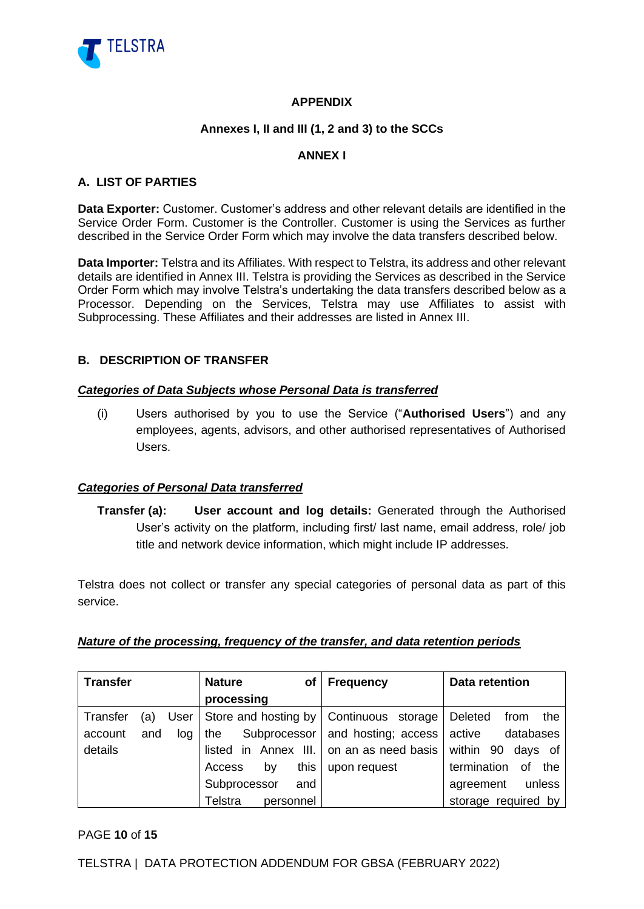

# **APPENDIX**

## **Annexes I, II and III (1, 2 and 3) to the SCCs**

## **ANNEX I**

### **A. LIST OF PARTIES**

**Data Exporter:** Customer. Customer's address and other relevant details are identified in the Service Order Form. Customer is the Controller. Customer is using the Services as further described in the Service Order Form which may involve the data transfers described below.

**Data Importer:** Telstra and its Affiliates. With respect to Telstra, its address and other relevant details are identified in Annex III. Telstra is providing the Services as described in the Service Order Form which may involve Telstra's undertaking the data transfers described below as a Processor. Depending on the Services, Telstra may use Affiliates to assist with Subprocessing. These Affiliates and their addresses are listed in Annex III.

### **B. DESCRIPTION OF TRANSFER**

### *Categories of Data Subjects whose Personal Data is transferred*

(i) Users authorised by you to use the Service ("**Authorised Users**") and any employees, agents, advisors, and other authorised representatives of Authorised Users.

### *Categories of Personal Data transferred*

**Transfer (a): User account and log details:** Generated through the Authorised User's activity on the platform, including first/ last name, email address, role/ job title and network device information, which might include IP addresses.

Telstra does not collect or transfer any special categories of personal data as part of this service.

### *Nature of the processing, frequency of the transfer, and data retention periods*

| <b>Transfer</b> |     |      | <b>Nature</b>         | оf        | <b>Frequency</b>                          | <b>Data retention</b>    |
|-----------------|-----|------|-----------------------|-----------|-------------------------------------------|--------------------------|
|                 |     |      | processing            |           |                                           |                          |
| Transfer        | (a) | User |                       |           | Store and hosting by   Continuous storage | Deleted<br>from<br>the   |
| account         | and | log  | Subprocessor  <br>the |           | and hosting; access active                | databases                |
| details         |     |      |                       |           | listed in Annex III. on an as need basis  | within 90<br>days of     |
|                 |     |      | Access<br>by          | this      | upon request                              | termination<br>οf<br>the |
|                 |     |      | Subprocessor          | and       |                                           | unless<br>agreement      |
|                 |     |      | Telstra               | personnel |                                           | storage required by      |

### PAGE **10** of **15**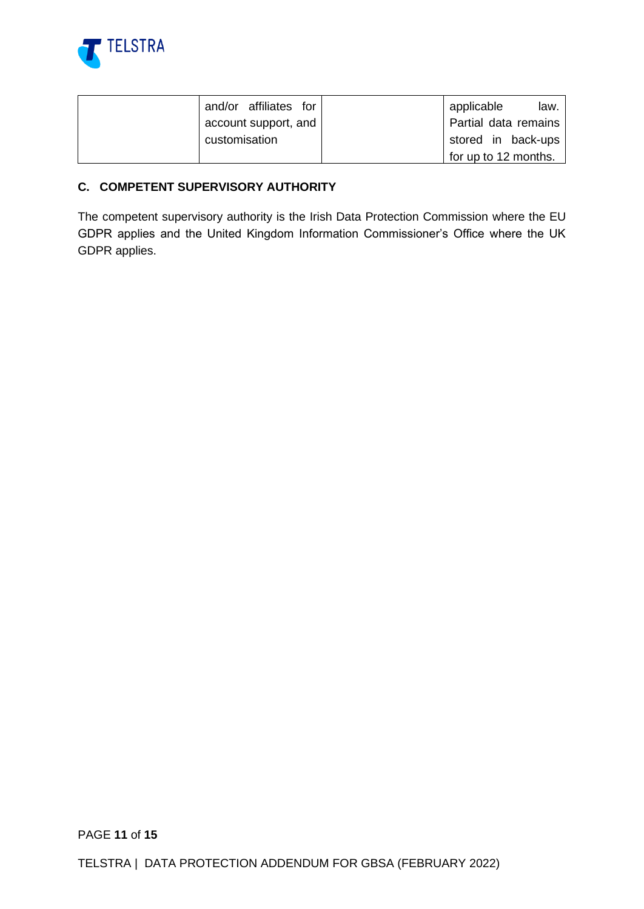

| and/or affiliates for | applicable<br>law.   |
|-----------------------|----------------------|
| account support, and  | Partial data remains |
| customisation         | stored in back-ups   |
|                       | for up to 12 months. |

# **C. COMPETENT SUPERVISORY AUTHORITY**

The competent supervisory authority is the Irish Data Protection Commission where the EU GDPR applies and the United Kingdom Information Commissioner's Office where the UK GDPR applies.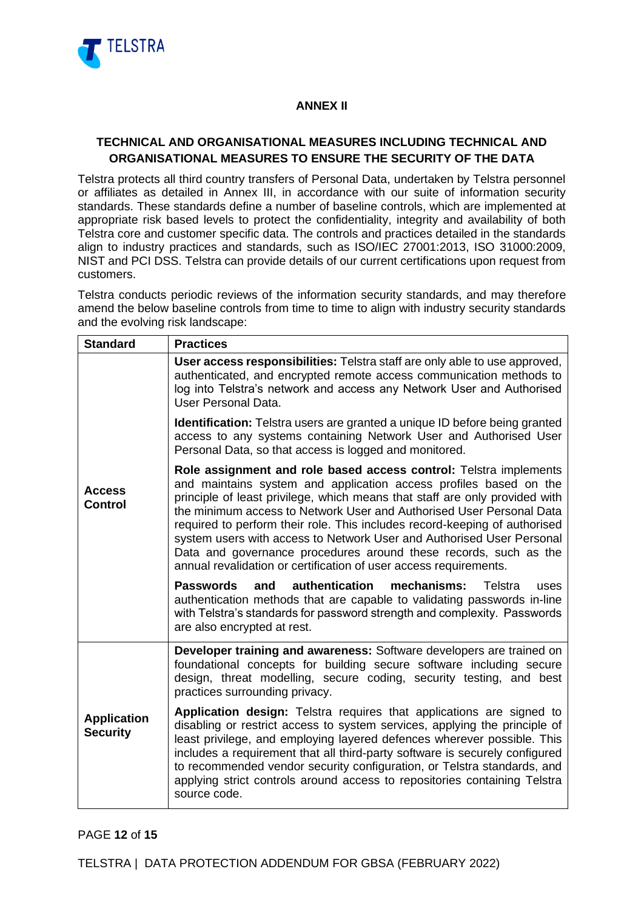

### **ANNEX II**

# **TECHNICAL AND ORGANISATIONAL MEASURES INCLUDING TECHNICAL AND ORGANISATIONAL MEASURES TO ENSURE THE SECURITY OF THE DATA**

Telstra protects all third country transfers of Personal Data, undertaken by Telstra personnel or affiliates as detailed in Annex III, in accordance with our suite of information security standards. These standards define a number of baseline controls, which are implemented at appropriate risk based levels to protect the confidentiality, integrity and availability of both Telstra core and customer specific data. The controls and practices detailed in the standards align to industry practices and standards, such as ISO/IEC 27001:2013, ISO 31000:2009, NIST and PCI DSS. Telstra can provide details of our current certifications upon request from customers.

Telstra conducts periodic reviews of the information security standards, and may therefore amend the below baseline controls from time to time to align with industry security standards and the evolving risk landscape:

| <b>Standard</b>                       | <b>Practices</b>                                                                                                                                                                                                                                                                                                                                                                                                                                                                                                                                                                              |  |  |  |  |
|---------------------------------------|-----------------------------------------------------------------------------------------------------------------------------------------------------------------------------------------------------------------------------------------------------------------------------------------------------------------------------------------------------------------------------------------------------------------------------------------------------------------------------------------------------------------------------------------------------------------------------------------------|--|--|--|--|
|                                       | User access responsibilities: Telstra staff are only able to use approved,<br>authenticated, and encrypted remote access communication methods to<br>log into Telstra's network and access any Network User and Authorised<br>User Personal Data.                                                                                                                                                                                                                                                                                                                                             |  |  |  |  |
|                                       | <b>Identification:</b> Telstra users are granted a unique ID before being granted<br>access to any systems containing Network User and Authorised User<br>Personal Data, so that access is logged and monitored.                                                                                                                                                                                                                                                                                                                                                                              |  |  |  |  |
| <b>Access</b><br><b>Control</b>       | Role assignment and role based access control: Telstra implements<br>and maintains system and application access profiles based on the<br>principle of least privilege, which means that staff are only provided with<br>the minimum access to Network User and Authorised User Personal Data<br>required to perform their role. This includes record-keeping of authorised<br>system users with access to Network User and Authorised User Personal<br>Data and governance procedures around these records, such as the<br>annual revalidation or certification of user access requirements. |  |  |  |  |
|                                       | authentication<br>mechanisms:<br><b>Passwords</b><br>and<br>Telstra<br>uses<br>authentication methods that are capable to validating passwords in-line<br>with Telstra's standards for password strength and complexity. Passwords<br>are also encrypted at rest.                                                                                                                                                                                                                                                                                                                             |  |  |  |  |
|                                       | Developer training and awareness: Software developers are trained on<br>foundational concepts for building secure software including secure<br>design, threat modelling, secure coding, security testing, and best<br>practices surrounding privacy.                                                                                                                                                                                                                                                                                                                                          |  |  |  |  |
| <b>Application</b><br><b>Security</b> | Application design: Telstra requires that applications are signed to<br>disabling or restrict access to system services, applying the principle of<br>least privilege, and employing layered defences wherever possible. This<br>includes a requirement that all third-party software is securely configured<br>to recommended vendor security configuration, or Telstra standards, and<br>applying strict controls around access to repositories containing Telstra<br>source code.                                                                                                          |  |  |  |  |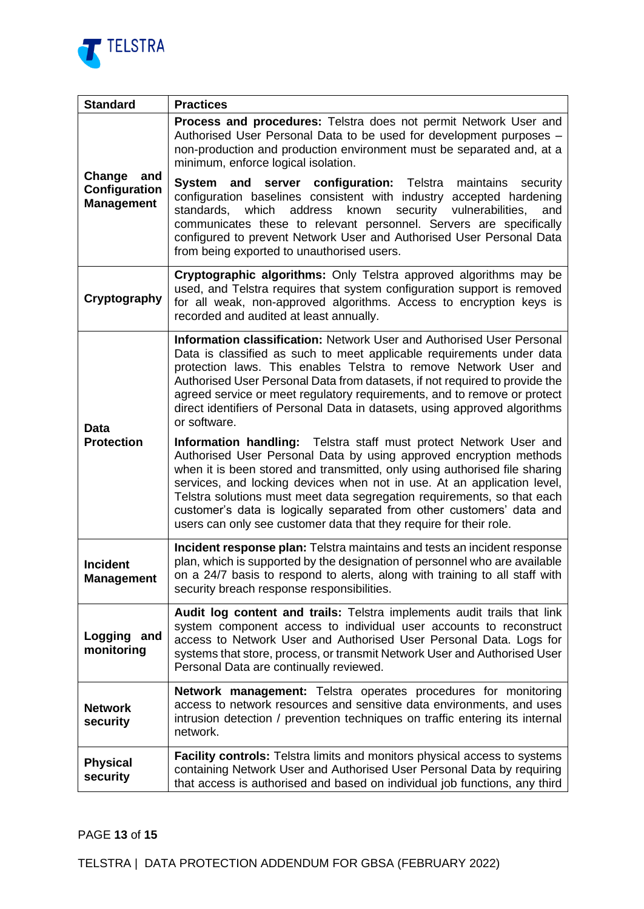

| <b>Standard</b>                                     | <b>Practices</b>                                                                                                                                                                                                                                                                                                                                                                                                                                                                                                           |  |  |  |
|-----------------------------------------------------|----------------------------------------------------------------------------------------------------------------------------------------------------------------------------------------------------------------------------------------------------------------------------------------------------------------------------------------------------------------------------------------------------------------------------------------------------------------------------------------------------------------------------|--|--|--|
|                                                     | <b>Process and procedures:</b> Telstra does not permit Network User and<br>Authorised User Personal Data to be used for development purposes -<br>non-production and production environment must be separated and, at a<br>minimum, enforce logical isolation.                                                                                                                                                                                                                                                             |  |  |  |
| Change<br>and<br>Configuration<br><b>Management</b> | and server configuration: Telstra<br>System<br>maintains<br>security<br>configuration baselines consistent with industry accepted hardening<br>standards, which<br>address<br>known security<br>vulnerabilities,<br>and<br>communicates these to relevant personnel. Servers are specifically<br>configured to prevent Network User and Authorised User Personal Data<br>from being exported to unauthorised users.                                                                                                        |  |  |  |
| Cryptography                                        | <b>Cryptographic algorithms:</b> Only Telstra approved algorithms may be<br>used, and Telstra requires that system configuration support is removed<br>for all weak, non-approved algorithms. Access to encryption keys is<br>recorded and audited at least annually.                                                                                                                                                                                                                                                      |  |  |  |
| Data                                                | <b>Information classification: Network User and Authorised User Personal</b><br>Data is classified as such to meet applicable requirements under data<br>protection laws. This enables Telstra to remove Network User and<br>Authorised User Personal Data from datasets, if not required to provide the<br>agreed service or meet regulatory requirements, and to remove or protect<br>direct identifiers of Personal Data in datasets, using approved algorithms<br>or software.                                         |  |  |  |
| <b>Protection</b>                                   | Information handling: Telstra staff must protect Network User and<br>Authorised User Personal Data by using approved encryption methods<br>when it is been stored and transmitted, only using authorised file sharing<br>services, and locking devices when not in use. At an application level,<br>Telstra solutions must meet data segregation requirements, so that each<br>customer's data is logically separated from other customers' data and<br>users can only see customer data that they require for their role. |  |  |  |
| <b>Incident</b><br><b>Management</b>                | <b>Incident response plan:</b> Telstra maintains and tests an incident response<br>plan, which is supported by the designation of personnel who are available<br>on a 24/7 basis to respond to alerts, along with training to all staff with<br>security breach response responsibilities.                                                                                                                                                                                                                                 |  |  |  |
| Logging and<br>monitoring                           | Audit log content and trails: Telstra implements audit trails that link<br>system component access to individual user accounts to reconstruct<br>access to Network User and Authorised User Personal Data. Logs for<br>systems that store, process, or transmit Network User and Authorised User<br>Personal Data are continually reviewed.                                                                                                                                                                                |  |  |  |
| <b>Network</b><br>security                          | <b>Network management:</b> Telstra operates procedures for monitoring<br>access to network resources and sensitive data environments, and uses<br>intrusion detection / prevention techniques on traffic entering its internal<br>network.                                                                                                                                                                                                                                                                                 |  |  |  |
| <b>Physical</b><br>security                         | <b>Facility controls:</b> Telstra limits and monitors physical access to systems<br>containing Network User and Authorised User Personal Data by requiring<br>that access is authorised and based on individual job functions, any third                                                                                                                                                                                                                                                                                   |  |  |  |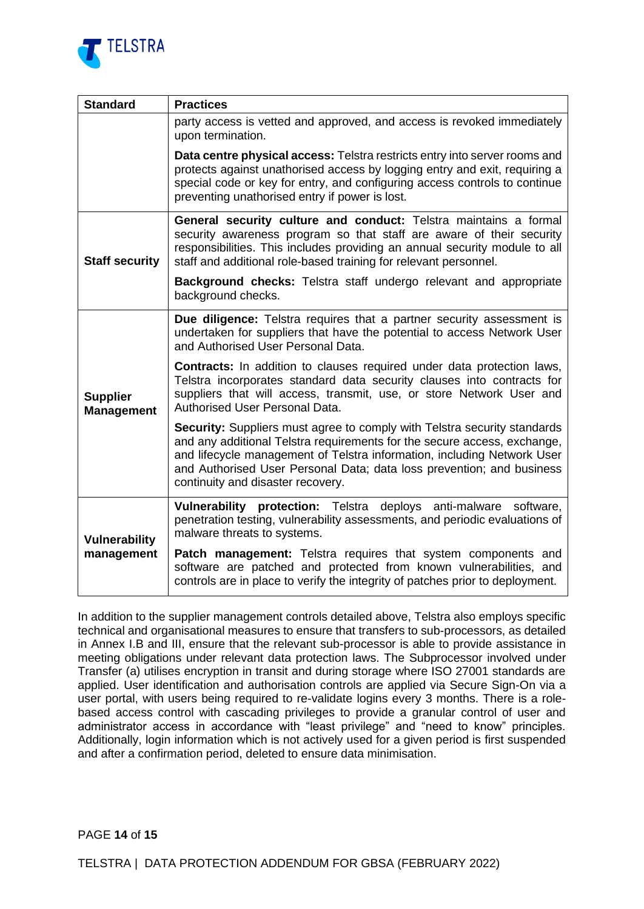

| <b>Standard</b>                      | <b>Practices</b>                                                                                                                                                                                                                                                                                                                              |  |  |  |
|--------------------------------------|-----------------------------------------------------------------------------------------------------------------------------------------------------------------------------------------------------------------------------------------------------------------------------------------------------------------------------------------------|--|--|--|
|                                      | party access is vetted and approved, and access is revoked immediately<br>upon termination.                                                                                                                                                                                                                                                   |  |  |  |
|                                      | Data centre physical access: Telstra restricts entry into server rooms and<br>protects against unathorised access by logging entry and exit, requiring a<br>special code or key for entry, and configuring access controls to continue<br>preventing unathorised entry if power is lost.                                                      |  |  |  |
| <b>Staff security</b>                | General security culture and conduct: Telstra maintains a formal<br>security awareness program so that staff are aware of their security<br>responsibilities. This includes providing an annual security module to all<br>staff and additional role-based training for relevant personnel.                                                    |  |  |  |
|                                      | Background checks: Telstra staff undergo relevant and appropriate<br>background checks.                                                                                                                                                                                                                                                       |  |  |  |
|                                      | <b>Due diligence:</b> Telstra requires that a partner security assessment is<br>undertaken for suppliers that have the potential to access Network User<br>and Authorised User Personal Data.                                                                                                                                                 |  |  |  |
| <b>Supplier</b><br><b>Management</b> | <b>Contracts:</b> In addition to clauses required under data protection laws,<br>Telstra incorporates standard data security clauses into contracts for<br>suppliers that will access, transmit, use, or store Network User and<br><b>Authorised User Personal Data.</b>                                                                      |  |  |  |
|                                      | Security: Suppliers must agree to comply with Telstra security standards<br>and any additional Telstra requirements for the secure access, exchange,<br>and lifecycle management of Telstra information, including Network User<br>and Authorised User Personal Data; data loss prevention; and business<br>continuity and disaster recovery. |  |  |  |
| <b>Vulnerability</b>                 | Vulnerability protection: Telstra deploys anti-malware software,<br>penetration testing, vulnerability assessments, and periodic evaluations of<br>malware threats to systems.                                                                                                                                                                |  |  |  |
| management                           | Patch management: Telstra requires that system components and<br>software are patched and protected from known vulnerabilities, and<br>controls are in place to verify the integrity of patches prior to deployment.                                                                                                                          |  |  |  |

In addition to the supplier management controls detailed above, Telstra also employs specific technical and organisational measures to ensure that transfers to sub-processors, as detailed in Annex I.B and III, ensure that the relevant sub-processor is able to provide assistance in meeting obligations under relevant data protection laws. The Subprocessor involved under Transfer (a) utilises encryption in transit and during storage where ISO 27001 standards are applied. User identification and authorisation controls are applied via Secure Sign-On via a user portal, with users being required to re-validate logins every 3 months. There is a rolebased access control with cascading privileges to provide a granular control of user and administrator access in accordance with "least privilege" and "need to know" principles. Additionally, login information which is not actively used for a given period is first suspended and after a confirmation period, deleted to ensure data minimisation.